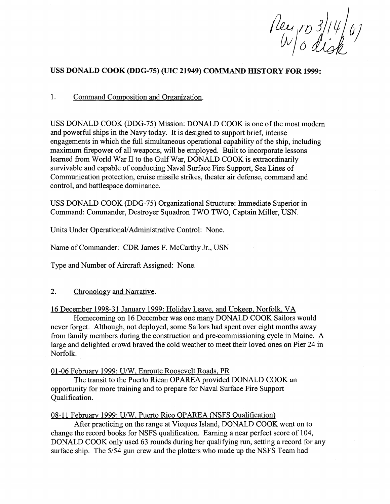Peu 10 3/14/07

# **USS DONALD COOK (DDG-75) (UIC 21949) COMMAND HISTORY FOR 1999:**

1. Command Composition and Organization.

USS DONALD COOK (DDG-75) Mission: DONALD COOK is one of the most modern and powerful ships in the Navy today. It is designed to support brief, intense engagements in which the full simultaneous operational capability of the ship, including maximum firepower of all weapons, will be employed. Built to incorporate lessons learned from World War I1 to the Gulf War, DONALD COOK is extraordinarily survivable and capable of conducting Naval Surface Fire Support, Sea Lines of Communication protection, cruise missile strikes, theater air defense, command and control, and battlespace dominance.

USS DONALD COOK (DDG-75) Organizational Structure: Immediate Superior in Command: Commander, Destroyer Squadron TWO TWO, Captain Miller, USN.

Units Under Operational/Administrative Control: None.

Name of Commander: CDR James F. McCarthy Jr., USN

Type and Number of Aircraft Assigned: None.

### 2. Chronology and Narrative.

16 December 1998-31 January 1999: Holiday Leave, and Upkeep, Norfolk, VA

Homecoming on 16 December was one many DONALD COOK Sailors would never forget. Although, not deployed, some Sailors had spent over eight months away from family members during the construction and pre~commissioning cycle in Maine. A large and delighted crowd braved the cold weather to meet their loved ones on Pier 24 in Norfolk.

01-06 February 1999: U/W, Enroute Roosevelt Roads, PR

The transit to the Puerto Rican OPAREA provided DONALD COOK an opportunity for more training and to prepare for Naval Surface Fire Support Qualification.

# 08-11 February 1999: U/W, Puerto Rico OPAREA (NSFS Qualification)

After practicing on the range at Vieques Island, DONALD COOK went on to change the record books for NSFS qualification. Earning a near perfect score of 104, DONALD COOK only used 63 rounds during her qualifying run, setting a record for any surface ship. The 5/54 gun crew and the plotters who made up the NSFS Team had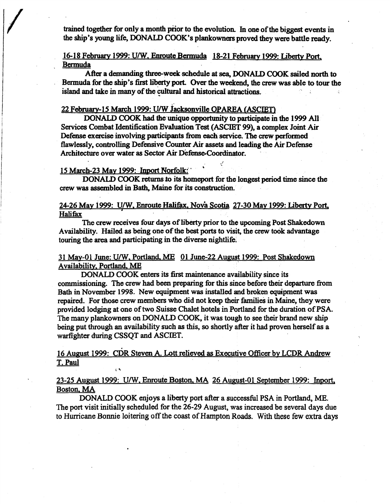trained together **fbr** only a month piior to the evolution. **In** one of **the biggest events in**  the ship's young life, **DONALD** COOK'S plankownem proved they **were battle** ready.

# 16- 1 8 Februarv 1999: **Urn,** Enroute **Bermuda** 18-2 **1 February** 1999: **Liberty** Port, <sup>&</sup>gt;Bermuda

**After** a demanding **three-week** schedule **at sea,** DONALD COOK sailed north to **Bermuda** for the ship's first liberty port. Over the **weekend,** the **crew was** able to tour the island and take in many of the cultural and historical attractions.

# 22 February-1 5 **March** 1999: **U/W** Jacksonville **OPAREA** (ASCIEn

DONALD COOK had the unique opportunity to participate in the 1999 All **Services** Combat Identification Evaluation **Test (ASCIBT 99)'** a complex Joint Air Defense exercise involving participants from each service. The crew performed flawlessly, controlling Defensive Counter Air **assets** and leading the Air Defense Architecture over water as Sector Air Defense Coordinator. '<br>'<br>'

#### 15 **March-23** Mav 1999: **Imort** Norfolki '

DONALD COOK returns **to** its homeport for the longest period time since the **crew was** assembled in Bath, Maine for its construction.

## 24-26 **May** 1999: **U/W.** Enroute Halifax. Novh Scotia 27-30 Mav 1999: Liberty Port, **Halifax**

The crew receives four **days** of liberty prior to the upcoming Post Shakedown Availability. Hailed **as** being one of **the** best ports to visit, the **crew** took advantage touring the area and participating in the diverse nightlife.

## 3 1 Mav-01 June: **UNV,** Portland. **ME** 01 June-22 Aumt 1999: Post Shakedown Availabilitv. Portland, ME

**DONALD** COOK enters its first maintenance availability since its commissioning. The crew had been preparing for this since before their departure from Bath in November 1998. New equipment **was** installed and broken equipment was repaired. For those crew **members** who did not **keep** their families in Maine, **they** were provided lodging at one of two Suisse Chalet hotels in Portland for the duration of PSA. The **many** plankowners on DONALD COOK, it was tough to see their brand new ship **being** put through **an** availability such as this, so shortly **after** it had proven herself as a warfighter during CSSQT and ASCIET.

#### 16 August 1999: CDR Steven A. **Lott** relieved as Executive Officer bv LCDR Andrew T. Paul **<sup>b</sup>**\*

# 23-25 August 1999: U/W. Enroute Boston. MA 26 August-01 September 1999: Inport, Boston. MA

DONALD **COOK** enjoys a liberty port after a successll PSA in Portland, ME. The port visit initially scheduled for the 26-29 August, **was** increased be several days due to Hurricane Bonnie loitering off the coast of Hampton Roads. With these **few extra days**